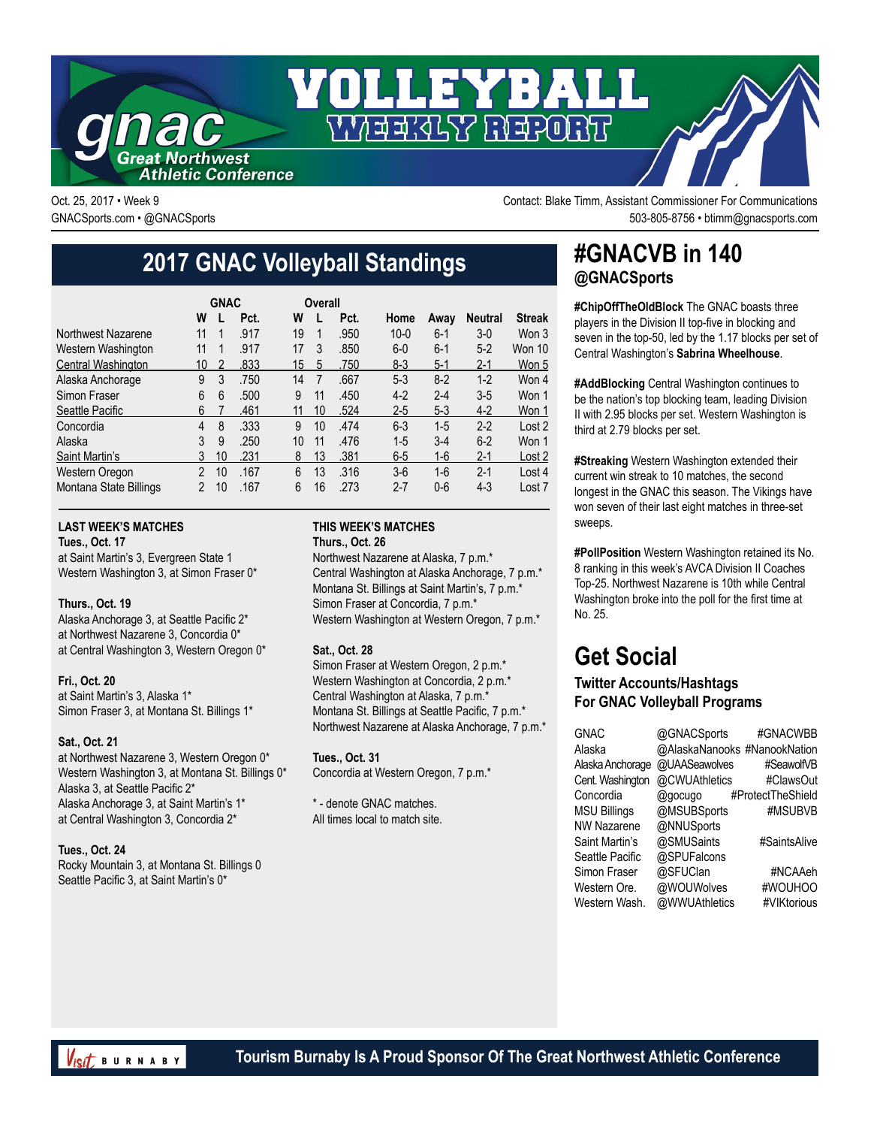

Oct. 25, 2017 • Week 9 Contact: Blake Timm, Assistant Commissioner For Communications GNACSports.com • @GNACSports 503-805-8756 • btimm@gnacsports.com

# **2017 GNAC Volleyball Standings**

|                        | <b>GNAC</b>    |    |      |    | Overall |      |          |         |                |               |
|------------------------|----------------|----|------|----|---------|------|----------|---------|----------------|---------------|
|                        | W              |    | Pct. | W  |         | Pct. | Home     | Away    | <b>Neutral</b> | <b>Streak</b> |
| Northwest Nazarene     | 11             | 1  | .917 | 19 |         | .950 | $10 - 0$ | $6 - 1$ | $3-0$          | Won 3         |
| Western Washington     | 11             | 1  | .917 | 17 | 3       | .850 | $6-0$    | $6-1$   | $5 - 2$        | Won 10        |
| Central Washington     | 10             | 2  | .833 | 15 | 5       | .750 | $8-3$    | $5-1$   | $2 - 1$        | Won 5         |
| Alaska Anchorage       | 9              | 3  | .750 | 14 | 7       | .667 | $5 - 3$  | $8-2$   | $1-2$          | Won 4         |
| Simon Fraser           | 6              | 6  | .500 | 9  | 11      | .450 | $4-2$    | $2 - 4$ | $3-5$          | Won 1         |
| Seattle Pacific        | 6              |    | .461 | 11 | 10      | .524 | $2 - 5$  | $5-3$   | $4-2$          | Won 1         |
| Concordia              | 4              | 8  | .333 | 9  | 10      | .474 | $6 - 3$  | $1 - 5$ | $2 - 2$        | Lost 2        |
| Alaska                 | 3              | 9  | .250 | 10 | 11      | .476 | $1 - 5$  | $3-4$   | $6 - 2$        | Won 1         |
| Saint Martin's         | 3              | 10 | .231 | 8  | 13      | .381 | $6-5$    | 1-6     | $2 - 1$        | Lost 2        |
| <b>Western Oregon</b>  | $\mathfrak{p}$ | 10 | .167 | 6  | 13      | .316 | $3-6$    | $1-6$   | $2 - 1$        | Lost 4        |
| Montana State Billings | $\mathfrak{p}$ | 10 | .167 | 6  | 16      | .273 | $2 - 7$  | $0-6$   | $4 - 3$        | Lost 7        |

### **LAST WEEK'S MATCHES**

**Tues., Oct. 17**

at Saint Martin's 3, Evergreen State 1 Western Washington 3, at Simon Fraser 0\*

#### **Thurs., Oct. 19**

Alaska Anchorage 3, at Seattle Pacific 2\* at Northwest Nazarene 3, Concordia 0\* at Central Washington 3, Western Oregon 0\*

**Fri., Oct. 20** at Saint Martin's 3, Alaska 1\* Simon Fraser 3, at Montana St. Billings 1\*

### **Sat., Oct. 21**

at Northwest Nazarene 3, Western Oregon 0\* Western Washington 3, at Montana St. Billings 0\* Alaska 3, at Seattle Pacific 2\* Alaska Anchorage 3, at Saint Martin's 1\* at Central Washington 3, Concordia 2\*

#### **Tues., Oct. 24**

Rocky Mountain 3, at Montana St. Billings 0 Seattle Pacific 3, at Saint Martin's 0\*

### **THIS WEEK'S MATCHES Thurs., Oct. 26**

Northwest Nazarene at Alaska, 7 p.m.\* Central Washington at Alaska Anchorage, 7 p.m.\* Montana St. Billings at Saint Martin's, 7 p.m.\* Simon Fraser at Concordia, 7 p.m.\* Western Washington at Western Oregon, 7 p.m.\*

### **Sat., Oct. 28**

Simon Fraser at Western Oregon, 2 p.m.\* Western Washington at Concordia, 2 p.m.\* Central Washington at Alaska, 7 p.m.\* Montana St. Billings at Seattle Pacific, 7 p.m.\* Northwest Nazarene at Alaska Anchorage, 7 p.m.\*

**Tues., Oct. 31** Concordia at Western Oregon, 7 p.m.\*

\* - denote GNAC matches. All times local to match site.

### **#GNACVB in 140 @GNACSports**

**#ChipOffTheOldBlock** The GNAC boasts three players in the Division II top-five in blocking and seven in the top-50, led by the 1.17 blocks per set of Central Washington's **Sabrina Wheelhouse**.

**#AddBlocking** Central Washington continues to be the nation's top blocking team, leading Division II with 2.95 blocks per set. Western Washington is third at 2.79 blocks per set.

**#Streaking** Western Washington extended their current win streak to 10 matches, the second longest in the GNAC this season. The Vikings have won seven of their last eight matches in three-set sweeps.

**#PollPosition** Western Washington retained its No. 8 ranking in this week's AVCA Division II Coaches Top-25. Northwest Nazarene is 10th while Central Washington broke into the poll for the first time at No. 25.

## **Get Social**

### **Twitter Accounts/Hashtags For GNAC Volleyball Programs**

| <b>GNAC</b>         | @GNACSports                  | #GNACWBB          |
|---------------------|------------------------------|-------------------|
| Alaska              | @AlaskaNanooks #NanookNation |                   |
| Alaska Anchorage    | @UAASeawolves                | #SeawolfVB        |
| Cent. Washington    | @CWUAthletics                | #ClawsOut         |
| Concordia           | @gocugo                      | #ProtectTheShield |
| <b>MSU Billings</b> | @MSUBSports                  | #MSUBVB           |
| <b>NW Nazarene</b>  | @NNUSports                   |                   |
| Saint Martin's      | @SMUSaints                   | #SaintsAlive      |
| Seattle Pacific     | @SPUFalcons                  |                   |
| Simon Fraser        | @SFUClan                     | #NCAAeh           |
| Western Ore.        | @WOUWolves                   | #WOUHOO           |
| Western Wash.       | @WWUAthletics                | #VIKtorious       |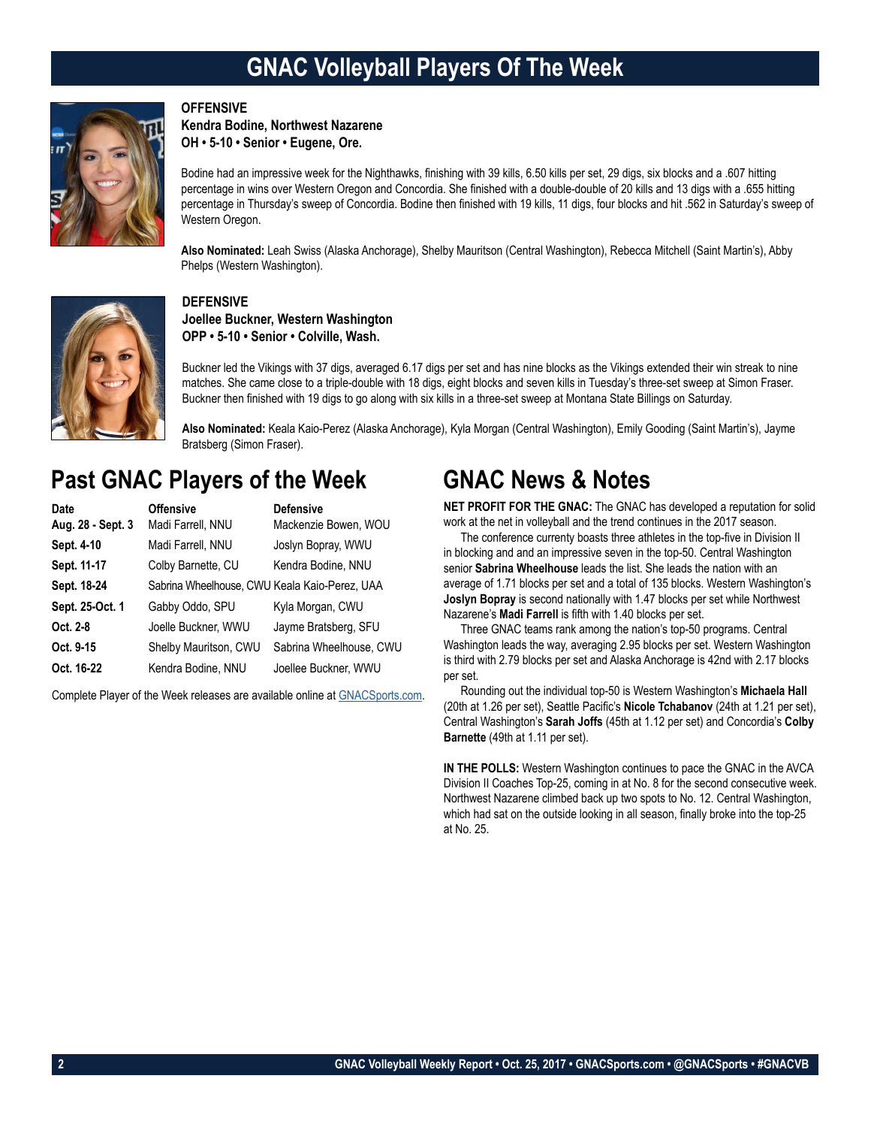## **GNAC Volleyball Players Of The Week**



### **OFFENSIVE**

**Kendra Bodine, Northwest Nazarene OH • 5-10 • Senior • Eugene, Ore.**

Bodine had an impressive week for the Nighthawks, finishing with 39 kills, 6.50 kills per set, 29 digs, six blocks and a .607 hitting percentage in wins over Western Oregon and Concordia. She finished with a double-double of 20 kills and 13 digs with a .655 hitting percentage in Thursday's sweep of Concordia. Bodine then finished with 19 kills, 11 digs, four blocks and hit .562 in Saturday's sweep of Western Oregon.

**Also Nominated:** Leah Swiss (Alaska Anchorage), Shelby Mauritson (Central Washington), Rebecca Mitchell (Saint Martin's), Abby Phelps (Western Washington).



### **DEFENSIVE**

**Joellee Buckner, Western Washington OPP • 5-10 • Senior • Colville, Wash.**

Buckner led the Vikings with 37 digs, averaged 6.17 digs per set and has nine blocks as the Vikings extended their win streak to nine matches. She came close to a triple-double with 18 digs, eight blocks and seven kills in Tuesday's three-set sweep at Simon Fraser. Buckner then finished with 19 digs to go along with six kills in a three-set sweep at Montana State Billings on Saturday.

**Also Nominated:** Keala Kaio-Perez (Alaska Anchorage), Kyla Morgan (Central Washington), Emily Gooding (Saint Martin's), Jayme Bratsberg (Simon Fraser).

### **Past GNAC Players of the Week**

| Date              | <b>Offensive</b>                              | <b>Defensive</b>        |
|-------------------|-----------------------------------------------|-------------------------|
| Aug. 28 - Sept. 3 | Madi Farrell, NNU                             | Mackenzie Bowen, WOU    |
| Sept. 4-10        | Madi Farrell, NNU                             | Joslyn Bopray, WWU      |
| Sept. 11-17       | Colby Barnette, CU                            | Kendra Bodine, NNU      |
| Sept. 18-24       | Sabrina Wheelhouse, CWU Keala Kaio-Perez, UAA |                         |
| Sept. 25-Oct. 1   | Gabby Oddo, SPU                               | Kyla Morgan, CWU        |
| Oct. 2-8          | Joelle Buckner, WWU                           | Jayme Bratsberg, SFU    |
| Oct. 9-15         | Shelby Mauritson, CWU                         | Sabrina Wheelhouse, CWU |
| Oct. 16-22        | Kendra Bodine, NNU                            | Joellee Buckner, WWU    |

Complete Player of the Week releases are available online at [GNACSports.com.](http://www.gnacsports.com/football/fbredlion/)

### **GNAC News & Notes**

**NET PROFIT FOR THE GNAC:** The GNAC has developed a reputation for solid work at the net in volleyball and the trend continues in the 2017 season.

The conference currenty boasts three athletes in the top-five in Division II in blocking and and an impressive seven in the top-50. Central Washington senior **Sabrina Wheelhouse** leads the list. She leads the nation with an average of 1.71 blocks per set and a total of 135 blocks. Western Washington's **Joslyn Bopray** is second nationally with 1.47 blocks per set while Northwest Nazarene's **Madi Farrell** is fifth with 1.40 blocks per set.

Three GNAC teams rank among the nation's top-50 programs. Central Washington leads the way, averaging 2.95 blocks per set. Western Washington is third with 2.79 blocks per set and Alaska Anchorage is 42nd with 2.17 blocks per set.

Rounding out the individual top-50 is Western Washington's **Michaela Hall** (20th at 1.26 per set), Seattle Pacific's **Nicole Tchabanov** (24th at 1.21 per set), Central Washington's **Sarah Joffs** (45th at 1.12 per set) and Concordia's **Colby Barnette** (49th at 1.11 per set).

**IN THE POLLS:** Western Washington continues to pace the GNAC in the AVCA Division II Coaches Top-25, coming in at No. 8 for the second consecutive week. Northwest Nazarene climbed back up two spots to No. 12. Central Washington, which had sat on the outside looking in all season, finally broke into the top-25 at No. 25.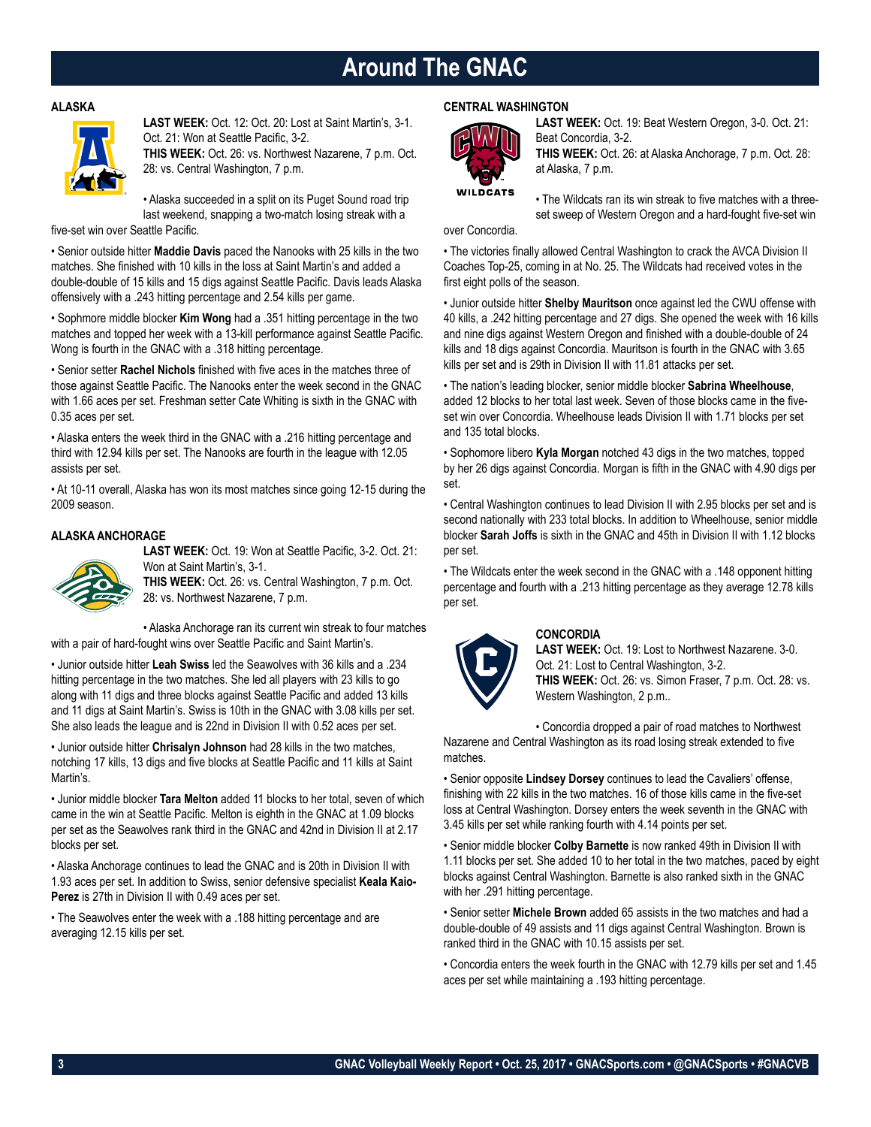## **Around The GNAC**

#### **ALASKA**



**LAST WEEK:** Oct. 12: Oct. 20: Lost at Saint Martin's, 3-1. Oct. 21: Won at Seattle Pacific, 3-2. **THIS WEEK:** Oct. 26: vs. Northwest Nazarene, 7 p.m. Oct. 28: vs. Central Washington, 7 p.m.

• Alaska succeeded in a split on its Puget Sound road trip last weekend, snapping a two-match losing streak with a

five-set win over Seattle Pacific.

• Senior outside hitter **Maddie Davis** paced the Nanooks with 25 kills in the two matches. She finished with 10 kills in the loss at Saint Martin's and added a double-double of 15 kills and 15 digs against Seattle Pacific. Davis leads Alaska offensively with a .243 hitting percentage and 2.54 kills per game.

• Sophmore middle blocker **Kim Wong** had a .351 hitting percentage in the two matches and topped her week with a 13-kill performance against Seattle Pacific. Wong is fourth in the GNAC with a .318 hitting percentage.

• Senior setter **Rachel Nichols** finished with five aces in the matches three of those against Seattle Pacific. The Nanooks enter the week second in the GNAC with 1.66 aces per set. Freshman setter Cate Whiting is sixth in the GNAC with 0.35 aces per set.

• Alaska enters the week third in the GNAC with a .216 hitting percentage and third with 12.94 kills per set. The Nanooks are fourth in the league with 12.05 assists per set.

• At 10-11 overall, Alaska has won its most matches since going 12-15 during the 2009 season.

### **ALASKA ANCHORAGE**



**LAST WEEK:** Oct. 19: Won at Seattle Pacific, 3-2. Oct. 21: Won at Saint Martin's, 3-1.

**THIS WEEK:** Oct. 26: vs. Central Washington, 7 p.m. Oct. 28: vs. Northwest Nazarene, 7 p.m.

• Alaska Anchorage ran its current win streak to four matches with a pair of hard-fought wins over Seattle Pacific and Saint Martin's.

• Junior outside hitter **Leah Swiss** led the Seawolves with 36 kills and a .234 hitting percentage in the two matches. She led all players with 23 kills to go along with 11 digs and three blocks against Seattle Pacific and added 13 kills and 11 digs at Saint Martin's. Swiss is 10th in the GNAC with 3.08 kills per set. She also leads the league and is 22nd in Division II with 0.52 aces per set.

• Junior outside hitter **Chrisalyn Johnson** had 28 kills in the two matches, notching 17 kills, 13 digs and five blocks at Seattle Pacific and 11 kills at Saint Martin's.

• Junior middle blocker **Tara Melton** added 11 blocks to her total, seven of which came in the win at Seattle Pacific. Melton is eighth in the GNAC at 1.09 blocks per set as the Seawolves rank third in the GNAC and 42nd in Division II at 2.17 blocks per set.

• Alaska Anchorage continues to lead the GNAC and is 20th in Division II with 1.93 aces per set. In addition to Swiss, senior defensive specialist **Keala Kaio-Perez** is 27th in Division II with 0.49 aces per set.

• The Seawolves enter the week with a .188 hitting percentage and are averaging 12.15 kills per set.

#### **CENTRAL WASHINGTON**



**LAST WEEK:** Oct. 19: Beat Western Oregon, 3-0. Oct. 21: Beat Concordia, 3-2.

**THIS WEEK:** Oct. 26: at Alaska Anchorage, 7 p.m. Oct. 28: at Alaska, 7 p.m.

• The Wildcats ran its win streak to five matches with a threeset sweep of Western Oregon and a hard-fought five-set win

over Concordia.

• The victories finally allowed Central Washington to crack the AVCA Division II Coaches Top-25, coming in at No. 25. The Wildcats had received votes in the first eight polls of the season.

• Junior outside hitter **Shelby Mauritson** once against led the CWU offense with 40 kills, a .242 hitting percentage and 27 digs. She opened the week with 16 kills and nine digs against Western Oregon and finished with a double-double of 24 kills and 18 digs against Concordia. Mauritson is fourth in the GNAC with 3.65 kills per set and is 29th in Division II with 11.81 attacks per set.

• The nation's leading blocker, senior middle blocker **Sabrina Wheelhouse**, added 12 blocks to her total last week. Seven of those blocks came in the fiveset win over Concordia. Wheelhouse leads Division II with 1.71 blocks per set and 135 total blocks.

• Sophomore libero **Kyla Morgan** notched 43 digs in the two matches, topped by her 26 digs against Concordia. Morgan is fifth in the GNAC with 4.90 digs per set.

• Central Washington continues to lead Division II with 2.95 blocks per set and is second nationally with 233 total blocks. In addition to Wheelhouse, senior middle blocker **Sarah Joffs** is sixth in the GNAC and 45th in Division II with 1.12 blocks per set.

• The Wildcats enter the week second in the GNAC with a .148 opponent hitting percentage and fourth with a .213 hitting percentage as they average 12.78 kills per set.



### **CONCORDIA**

**LAST WEEK:** Oct. 19: Lost to Northwest Nazarene. 3-0. Oct. 21: Lost to Central Washington, 3-2. **THIS WEEK:** Oct. 26: vs. Simon Fraser, 7 p.m. Oct. 28: vs. Western Washington, 2 p.m..

• Concordia dropped a pair of road matches to Northwest Nazarene and Central Washington as its road losing streak extended to five matches.

• Senior opposite **Lindsey Dorsey** continues to lead the Cavaliers' offense, finishing with 22 kills in the two matches. 16 of those kills came in the five-set loss at Central Washington. Dorsey enters the week seventh in the GNAC with 3.45 kills per set while ranking fourth with 4.14 points per set.

• Senior middle blocker **Colby Barnette** is now ranked 49th in Division II with 1.11 blocks per set. She added 10 to her total in the two matches, paced by eight blocks against Central Washington. Barnette is also ranked sixth in the GNAC with her .291 hitting percentage.

• Senior setter **Michele Brown** added 65 assists in the two matches and had a double-double of 49 assists and 11 digs against Central Washington. Brown is ranked third in the GNAC with 10.15 assists per set.

• Concordia enters the week fourth in the GNAC with 12.79 kills per set and 1.45 aces per set while maintaining a .193 hitting percentage.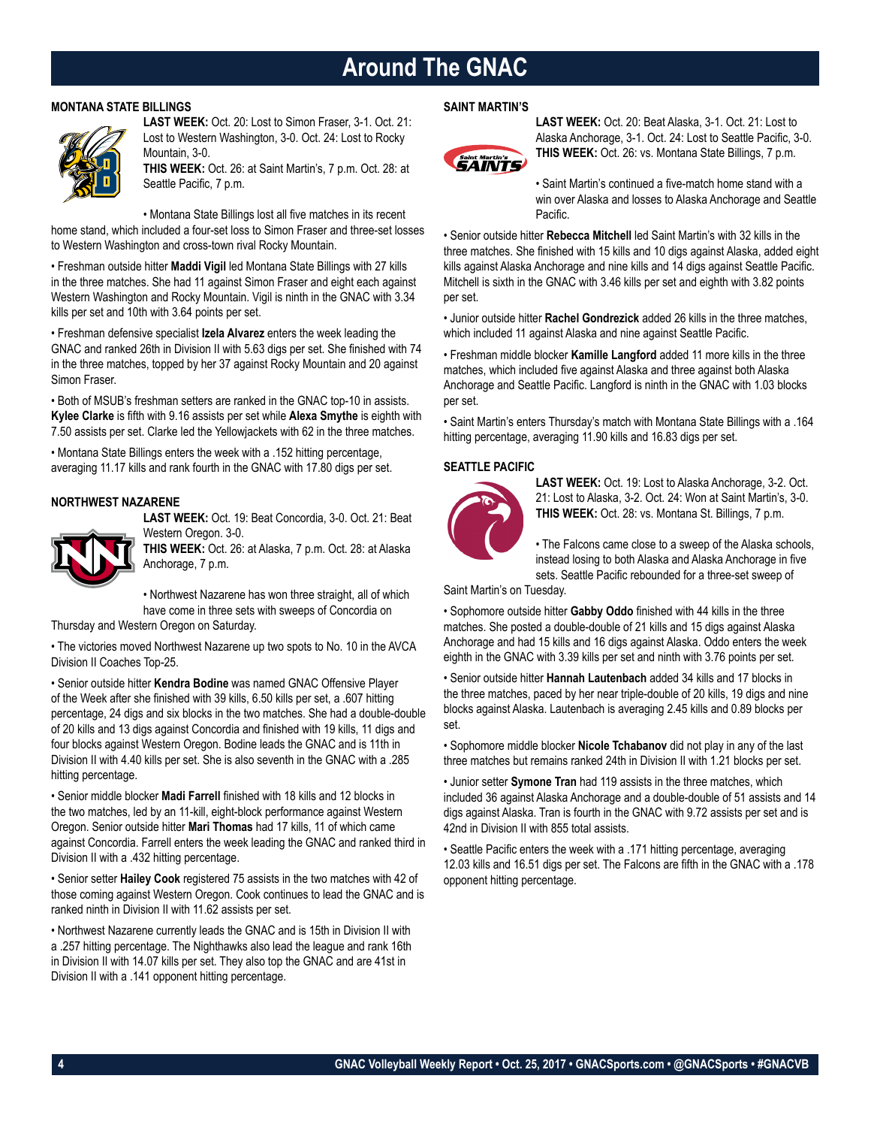### **Around The GNAC**

### **MONTANA STATE BILLINGS**



**LAST WEEK:** Oct. 20: Lost to Simon Fraser, 3-1. Oct. 21: Lost to Western Washington, 3-0. Oct. 24: Lost to Rocky Mountain, 3-0.

**THIS WEEK:** Oct. 26: at Saint Martin's, 7 p.m. Oct. 28: at Seattle Pacific, 7 p.m.

• Montana State Billings lost all five matches in its recent

home stand, which included a four-set loss to Simon Fraser and three-set losses to Western Washington and cross-town rival Rocky Mountain.

• Freshman outside hitter **Maddi Vigil** led Montana State Billings with 27 kills in the three matches. She had 11 against Simon Fraser and eight each against Western Washington and Rocky Mountain. Vigil is ninth in the GNAC with 3.34 kills per set and 10th with 3.64 points per set.

• Freshman defensive specialist **Izela Alvarez** enters the week leading the GNAC and ranked 26th in Division II with 5.63 digs per set. She finished with 74 in the three matches, topped by her 37 against Rocky Mountain and 20 against Simon Fraser.

• Both of MSUB's freshman setters are ranked in the GNAC top-10 in assists. **Kylee Clarke** is fifth with 9.16 assists per set while **Alexa Smythe** is eighth with 7.50 assists per set. Clarke led the Yellowjackets with 62 in the three matches.

• Montana State Billings enters the week with a .152 hitting percentage, averaging 11.17 kills and rank fourth in the GNAC with 17.80 digs per set.

### **NORTHWEST NAZARENE**

**LAST WEEK:** Oct. 19: Beat Concordia, 3-0. Oct. 21: Beat Western Oregon. 3-0.



**THIS WEEK:** Oct. 26: at Alaska, 7 p.m. Oct. 28: at Alaska Anchorage, 7 p.m.

• Northwest Nazarene has won three straight, all of which have come in three sets with sweeps of Concordia on

Thursday and Western Oregon on Saturday.

• The victories moved Northwest Nazarene up two spots to No. 10 in the AVCA Division II Coaches Top-25.

• Senior outside hitter **Kendra Bodine** was named GNAC Offensive Player of the Week after she finished with 39 kills, 6.50 kills per set, a .607 hitting percentage, 24 digs and six blocks in the two matches. She had a double-double of 20 kills and 13 digs against Concordia and finished with 19 kills, 11 digs and four blocks against Western Oregon. Bodine leads the GNAC and is 11th in Division II with 4.40 kills per set. She is also seventh in the GNAC with a .285 hitting percentage.

• Senior middle blocker **Madi Farrell** finished with 18 kills and 12 blocks in the two matches, led by an 11-kill, eight-block performance against Western Oregon. Senior outside hitter **Mari Thomas** had 17 kills, 11 of which came against Concordia. Farrell enters the week leading the GNAC and ranked third in Division II with a .432 hitting percentage.

• Senior setter **Hailey Cook** registered 75 assists in the two matches with 42 of those coming against Western Oregon. Cook continues to lead the GNAC and is ranked ninth in Division II with 11.62 assists per set.

• Northwest Nazarene currently leads the GNAC and is 15th in Division II with a .257 hitting percentage. The Nighthawks also lead the league and rank 16th in Division II with 14.07 kills per set. They also top the GNAC and are 41st in Division II with a .141 opponent hitting percentage.

### **SAINT MARTIN'S**



**LAST WEEK:** Oct. 20: Beat Alaska, 3-1. Oct. 21: Lost to Alaska Anchorage, 3-1. Oct. 24: Lost to Seattle Pacific, 3-0. **THIS WEEK:** Oct. 26: vs. Montana State Billings, 7 p.m.

• Saint Martin's continued a five-match home stand with a win over Alaska and losses to Alaska Anchorage and Seattle Pacific.

• Senior outside hitter **Rebecca Mitchell** led Saint Martin's with 32 kills in the three matches. She finished with 15 kills and 10 digs against Alaska, added eight kills against Alaska Anchorage and nine kills and 14 digs against Seattle Pacific. Mitchell is sixth in the GNAC with 3.46 kills per set and eighth with 3.82 points per set.

• Junior outside hitter **Rachel Gondrezick** added 26 kills in the three matches, which included 11 against Alaska and nine against Seattle Pacific.

• Freshman middle blocker **Kamille Langford** added 11 more kills in the three matches, which included five against Alaska and three against both Alaska Anchorage and Seattle Pacific. Langford is ninth in the GNAC with 1.03 blocks per set.

• Saint Martin's enters Thursday's match with Montana State Billings with a .164 hitting percentage, averaging 11.90 kills and 16.83 digs per set.

### **SEATTLE PACIFIC**



**LAST WEEK:** Oct. 19: Lost to Alaska Anchorage, 3-2. Oct. 21: Lost to Alaska, 3-2. Oct. 24: Won at Saint Martin's, 3-0. **THIS WEEK:** Oct. 28: vs. Montana St. Billings, 7 p.m.

• The Falcons came close to a sweep of the Alaska schools, instead losing to both Alaska and Alaska Anchorage in five sets. Seattle Pacific rebounded for a three-set sweep of

Saint Martin's on Tuesday.

• Sophomore outside hitter **Gabby Oddo** finished with 44 kills in the three matches. She posted a double-double of 21 kills and 15 digs against Alaska Anchorage and had 15 kills and 16 digs against Alaska. Oddo enters the week eighth in the GNAC with 3.39 kills per set and ninth with 3.76 points per set.

• Senior outside hitter **Hannah Lautenbach** added 34 kills and 17 blocks in the three matches, paced by her near triple-double of 20 kills, 19 digs and nine blocks against Alaska. Lautenbach is averaging 2.45 kills and 0.89 blocks per set.

• Sophomore middle blocker **Nicole Tchabanov** did not play in any of the last three matches but remains ranked 24th in Division II with 1.21 blocks per set.

• Junior setter **Symone Tran** had 119 assists in the three matches, which included 36 against Alaska Anchorage and a double-double of 51 assists and 14 digs against Alaska. Tran is fourth in the GNAC with 9.72 assists per set and is 42nd in Division II with 855 total assists.

• Seattle Pacific enters the week with a .171 hitting percentage, averaging 12.03 kills and 16.51 digs per set. The Falcons are fifth in the GNAC with a .178 opponent hitting percentage.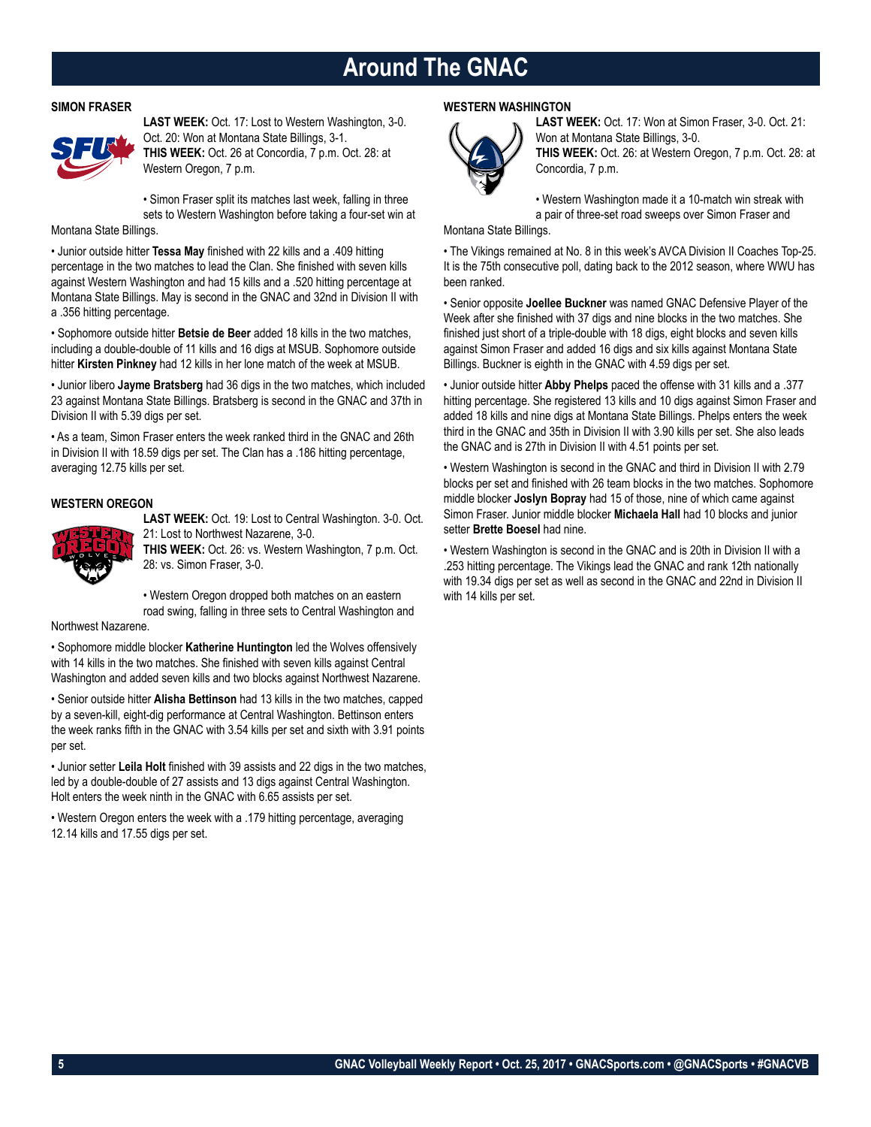### **Around The GNAC**

### **SIMON FRASER**



**LAST WEEK:** Oct. 17: Lost to Western Washington, 3-0. Oct. 20: Won at Montana State Billings, 3-1. **THIS WEEK:** Oct. 26 at Concordia, 7 p.m. Oct. 28: at Western Oregon, 7 p.m.

• Simon Fraser split its matches last week, falling in three sets to Western Washington before taking a four-set win at

Montana State Billings.

• Junior outside hitter **Tessa May** finished with 22 kills and a .409 hitting percentage in the two matches to lead the Clan. She finished with seven kills against Western Washington and had 15 kills and a .520 hitting percentage at Montana State Billings. May is second in the GNAC and 32nd in Division II with a .356 hitting percentage.

• Sophomore outside hitter **Betsie de Beer** added 18 kills in the two matches, including a double-double of 11 kills and 16 digs at MSUB. Sophomore outside hitter **Kirsten Pinkney** had 12 kills in her lone match of the week at MSUB.

• Junior libero **Jayme Bratsberg** had 36 digs in the two matches, which included 23 against Montana State Billings. Bratsberg is second in the GNAC and 37th in Division II with 5.39 digs per set.

• As a team, Simon Fraser enters the week ranked third in the GNAC and 26th in Division II with 18.59 digs per set. The Clan has a .186 hitting percentage, averaging 12.75 kills per set.

### **WESTERN OREGON**



**LAST WEEK:** Oct. 19: Lost to Central Washington. 3-0. Oct. 21: Lost to Northwest Nazarene, 3-0.

**THIS WEEK:** Oct. 26: vs. Western Washington, 7 p.m. Oct. 28: vs. Simon Fraser, 3-0.

• Western Oregon dropped both matches on an eastern road swing, falling in three sets to Central Washington and

Northwest Nazarene.

• Sophomore middle blocker **Katherine Huntington** led the Wolves offensively with 14 kills in the two matches. She finished with seven kills against Central Washington and added seven kills and two blocks against Northwest Nazarene.

• Senior outside hitter **Alisha Bettinson** had 13 kills in the two matches, capped by a seven-kill, eight-dig performance at Central Washington. Bettinson enters the week ranks fifth in the GNAC with 3.54 kills per set and sixth with 3.91 points per set.

• Junior setter **Leila Holt** finished with 39 assists and 22 digs in the two matches, led by a double-double of 27 assists and 13 digs against Central Washington. Holt enters the week ninth in the GNAC with 6.65 assists per set.

• Western Oregon enters the week with a .179 hitting percentage, averaging 12.14 kills and 17.55 digs per set.

### **WESTERN WASHINGTON**



**LAST WEEK:** Oct. 17: Won at Simon Fraser, 3-0. Oct. 21: Won at Montana State Billings, 3-0. **THIS WEEK:** Oct. 26: at Western Oregon, 7 p.m. Oct. 28: at Concordia, 7 p.m.

• Western Washington made it a 10-match win streak with a pair of three-set road sweeps over Simon Fraser and

Montana State Billings.

• The Vikings remained at No. 8 in this week's AVCA Division II Coaches Top-25. It is the 75th consecutive poll, dating back to the 2012 season, where WWU has been ranked.

• Senior opposite **Joellee Buckner** was named GNAC Defensive Player of the Week after she finished with 37 digs and nine blocks in the two matches. She finished just short of a triple-double with 18 digs, eight blocks and seven kills against Simon Fraser and added 16 digs and six kills against Montana State Billings. Buckner is eighth in the GNAC with 4.59 digs per set.

• Junior outside hitter **Abby Phelps** paced the offense with 31 kills and a .377 hitting percentage. She registered 13 kills and 10 digs against Simon Fraser and added 18 kills and nine digs at Montana State Billings. Phelps enters the week third in the GNAC and 35th in Division II with 3.90 kills per set. She also leads the GNAC and is 27th in Division II with 4.51 points per set.

• Western Washington is second in the GNAC and third in Division II with 2.79 blocks per set and finished with 26 team blocks in the two matches. Sophomore middle blocker **Joslyn Bopray** had 15 of those, nine of which came against Simon Fraser. Junior middle blocker **Michaela Hall** had 10 blocks and junior setter **Brette Boesel** had nine.

• Western Washington is second in the GNAC and is 20th in Division II with a .253 hitting percentage. The Vikings lead the GNAC and rank 12th nationally with 19.34 digs per set as well as second in the GNAC and 22nd in Division II with 14 kills per set.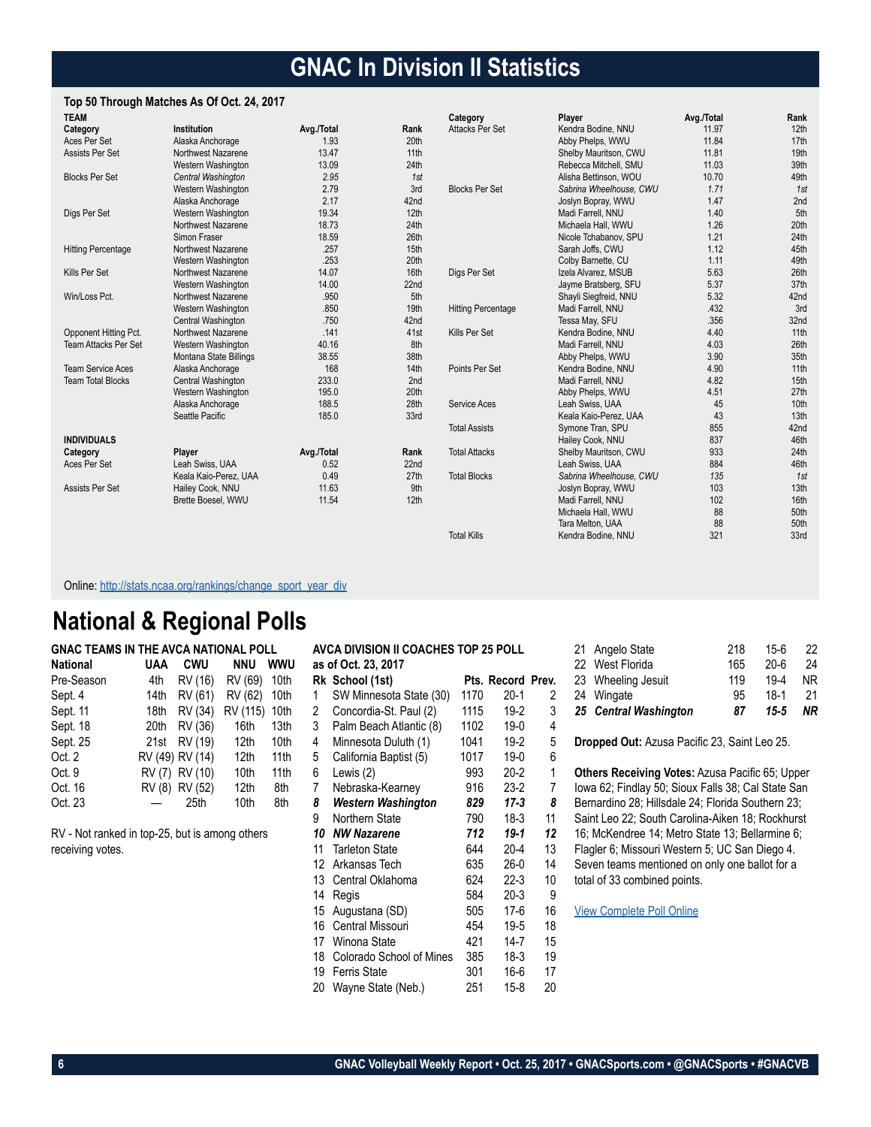## **GNAC In Division II Statistics**

### **Top 50 Through Matches As Of Oct. 24, 2017**

| <b>TEAM</b>                 |                        |            |                  | Category                  | Player                  | Avg./Total | Rank             |
|-----------------------------|------------------------|------------|------------------|---------------------------|-------------------------|------------|------------------|
| Category                    | Institution            | Avg./Total | Rank             | Attacks Per Set           | Kendra Bodine, NNU      | 11.97      | 12 <sub>th</sub> |
| Aces Per Set                | Alaska Anchorage       | 1.93       | 20th             |                           | Abby Phelps, WWU        | 11.84      | 17th             |
| Assists Per Set             | Northwest Nazarene     | 13.47      | 11 <sup>th</sup> |                           | Shelby Mauritson, CWU   | 11.81      | 19th             |
|                             | Western Washington     | 13.09      | 24th             |                           | Rebecca Mitchell, SMU   | 11.03      | 39th             |
| <b>Blocks Per Set</b>       | Central Washington     | 2.95       | 1st              |                           | Alisha Bettinson, WOU   | 10.70      | 49th             |
|                             | Western Washington     | 2.79       | 3rd              | <b>Blocks Per Set</b>     | Sabrina Wheelhouse, CWU | 1.71       | 1st              |
|                             | Alaska Anchorage       | 2.17       | 42nd             |                           | Joslyn Bopray, WWU      | 1.47       | 2nd              |
| Digs Per Set                | Western Washington     | 19.34      | 12 <sub>th</sub> |                           | Madi Farrell, NNU       | 1.40       | 5th              |
|                             | Northwest Nazarene     | 18.73      | 24th             |                           | Michaela Hall, WWU      | 1.26       | 20th             |
|                             | Simon Fraser           | 18.59      | 26th             |                           | Nicole Tchabanov, SPU   | 1.21       | 24th             |
| <b>Hitting Percentage</b>   | Northwest Nazarene     | .257       | 15th             |                           | Sarah Joffs, CWU        | 1.12       | 45th             |
|                             | Western Washington     | .253       | 20th             |                           | Colby Barnette, CU      | 1.11       | 49th             |
| Kills Per Set               | Northwest Nazarene     | 14.07      | 16th             | Digs Per Set              | Izela Alvarez, MSUB     | 5.63       | 26th             |
|                             | Western Washington     | 14.00      | 22nd             |                           | Jayme Bratsberg, SFU    | 5.37       | 37th             |
| Win/Loss Pct.               | Northwest Nazarene     | .950       | 5th              |                           | Shayli Siegfreid, NNU   | 5.32       | 42nd             |
|                             | Western Washington     | .850       | 19th             | <b>Hitting Percentage</b> | Madi Farrell, NNU       | .432       | 3rd              |
|                             | Central Washington     | .750       | 42nd             |                           | Tessa May, SFU          | .356       | 32nd             |
| Opponent Hitting Pct.       | Northwest Nazarene     | .141       | 41st             | Kills Per Set             | Kendra Bodine, NNU      | 4.40       | 11th             |
| <b>Team Attacks Per Set</b> | Western Washington     | 40.16      | 8th              |                           | Madi Farrell, NNU       | 4.03       | 26th             |
|                             | Montana State Billings | 38.55      | 38th             |                           | Abby Phelps, WWU        | 3.90       | 35th             |
| <b>Team Service Aces</b>    | Alaska Anchorage       | 168        | 14th             | Points Per Set            | Kendra Bodine, NNU      | 4.90       | 11th             |
| <b>Team Total Blocks</b>    | Central Washington     | 233.0      | 2nd              |                           | Madi Farrell, NNU       | 4.82       | 15 <sub>th</sub> |
|                             | Western Washington     | 195.0      | 20th             |                           | Abby Phelps, WWU        | 4.51       | 27th             |
|                             | Alaska Anchorage       | 188.5      | 28th             | Service Aces              | Leah Swiss, UAA         | 45         | 10th             |
|                             | Seattle Pacific        | 185.0      | 33rd             |                           | Keala Kaio-Perez, UAA   | 43         | 13th             |
|                             |                        |            |                  | <b>Total Assists</b>      | Symone Tran, SPU        | 855        | 42nd             |
| <b>INDIVIDUALS</b>          |                        |            |                  |                           | Hailey Cook, NNU        | 837        | 46th             |
| Category                    | Player                 | Avg./Total | Rank             | <b>Total Attacks</b>      | Shelby Mauritson, CWU   | 933        | 24th             |
| Aces Per Set                | Leah Swiss, UAA        | 0.52       | 22nd             |                           | Leah Swiss, UAA         | 884        | 46th             |
|                             | Keala Kaio-Perez, UAA  | 0.49       | 27th             | <b>Total Blocks</b>       | Sabrina Wheelhouse, CWU | 135        | 1st              |
| Assists Per Set             | Hailey Cook, NNU       | 11.63      | 9th              |                           | Joslyn Bopray, WWU      | 103        | 13th             |
|                             | Brette Boesel, WWU     | 11.54      | 12th             |                           | Madi Farrell, NNU       | 102        | 16th             |
|                             |                        |            |                  |                           | Michaela Hall, WWU      | 88         | 50th             |
|                             |                        |            |                  |                           | Tara Melton, UAA        | 88         | 50th             |
|                             |                        |            |                  | <b>Total Kills</b>        | Kendra Bodine, NNU      | 321        | 33rd             |

Online: [http://stats.ncaa.org/rankings/change\\_sport\\_year\\_div](http://stats.ncaa.org/rankings/change_sport_year_div)

### **National & Regional Polls**

| UAA  | <b>CWU</b> | <b>NNU</b>                                          | wwu                                  |
|------|------------|-----------------------------------------------------|--------------------------------------|
| 4th  | RV (16)    | RV (69)                                             | 10th                                 |
| 14th | RV (61)    | RV (62)                                             | 10th                                 |
| 18th | RV (34)    | RV (115)                                            | 10th                                 |
| 20th | RV (36)    | 16th                                                | 13th                                 |
| 21st | RV (19)    | 12th                                                | 10th                                 |
|      |            | 12 <sub>th</sub>                                    | 11 <sub>th</sub>                     |
|      |            | 10 <sub>th</sub>                                    | 11 <sub>th</sub>                     |
|      |            | 12 <sub>th</sub>                                    | 8th                                  |
|      | 25th       | 10th                                                | 8th                                  |
|      |            | RV (49) RV (14)<br>RV (7) RV (10)<br>RV (8) RV (52) | GNAC TEAMS IN THE AVCA NATIONAL POLL |

RV - Not ranked in top-25, but is among others receiving votes.

|    | AVCA DIVISION II COACHES TOP 25 POLL |      |                   |              |
|----|--------------------------------------|------|-------------------|--------------|
|    | as of Oct. 23, 2017                  |      |                   |              |
|    | Rk School (1st)                      |      | Pts. Record Prev. |              |
| 1  | SW Minnesota State (30)              | 1170 | $20-1$            | 2            |
| 2  | Concordia-St. Paul (2)               | 1115 | $19-2$            | 3            |
| 3  | Palm Beach Atlantic (8)              | 1102 | $19-0$            | 4            |
| 4  | Minnesota Duluth (1)                 | 1041 | $19-2$            | 5            |
| 5  | California Baptist (5)               | 1017 | 19-0              | 6            |
| 6  | Lewis (2)                            | 993  | $20 - 2$          | $\mathbf{1}$ |
| 7  | Nebraska-Kearney                     | 916  | $23-2$            | 7            |
| 8  | Western Washington                   | 829  | 17-3              | 8            |
| 9  | Northern State                       | 790  | 18-3              | 11           |
| 10 | <b>NW Nazarene</b>                   | 712  | 19-1              | 12           |
| 11 | <b>Tarleton State</b>                | 644  | $20 - 4$          | 13           |
| 12 | Arkansas Tech                        | 635  | $26-0$            | 14           |
| 13 | Central Oklahoma                     | 624  | $22-3$            | 10           |
| 14 | Regis                                | 584  | $20-3$            | 9            |
| 15 | Augustana (SD)                       | 505  | $17-6$            | 16           |
| 16 | <b>Central Missouri</b>              | 454  | $19 - 5$          | 18           |
|    | 17 Winona State                      | 421  | $14 - 7$          | 15           |
| 18 | Colorado School of Mines             | 385  | 18-3              | 19           |
| 19 | <b>Ferris State</b>                  | 301  | 16-6              | 17           |
| 20 | Wayne State (Neb.)                   | 251  | 15-8              | 20           |

| 25 Central Washington | 87  | $15 - 5$ | NR  |
|-----------------------|-----|----------|-----|
| 24 Wingate            | 95  | $18-1$   | 21  |
| 23 Wheeling Jesuit    | 119 | $19 - 4$ | NR. |
| 22 West Florida       | 165 | $20 - 6$ | 24  |
| 21 Angelo State       | 218 | 15-6     | 22  |
|                       |     |          |     |

**Dropped Out:** Azusa Pacific 23, Saint Leo 25.

**Others Receiving Votes:** Azusa Pacific 65; Upper Iowa 62; Findlay 50; Sioux Falls 38; Cal State San Bernardino 28; Hillsdale 24; Florida Southern 23; Saint Leo 22; South Carolina-Aiken 18; Rockhurst 16; McKendree 14; Metro State 13; Bellarmine 6; Flagler 6; Missouri Western 5; UC San Diego 4. Seven teams mentioned on only one ballot for a total of 33 combined points.

[View Complete Poll Online](https://www.avca.org/polls/dii-women/10-23-17.html)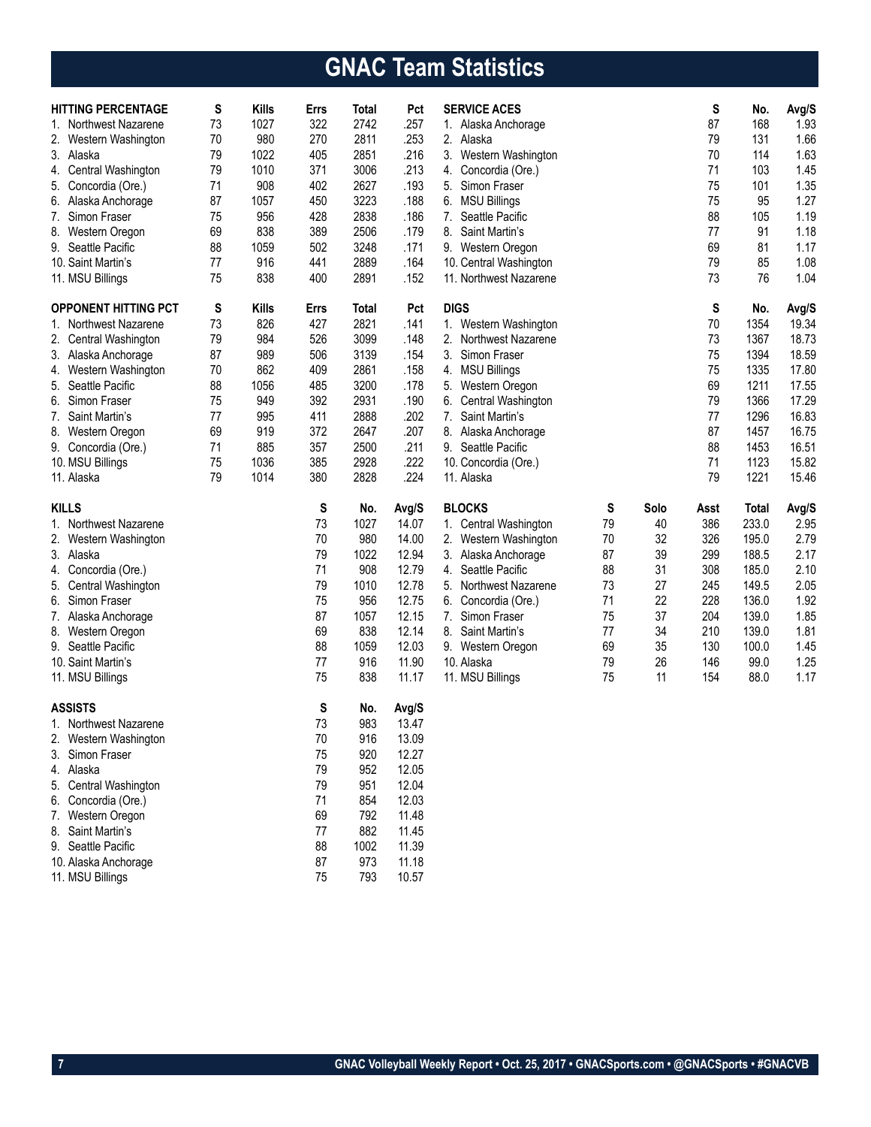# **GNAC Team Statistics**

| <b>HITTING PERCENTAGE</b><br>1. Northwest Nazarene<br>2.<br>Western Washington<br>3. Alaska<br>Central Washington<br>4.<br>5. Concordia (Ore.)<br>6. Alaska Anchorage<br>7. Simon Fraser<br>8. Western Oregon<br>9. Seattle Pacific<br>10. Saint Martin's<br>11. MSU Billings | S<br>73<br>70<br>79<br>79<br>71<br>87<br>75<br>69<br>88<br>77<br>75 | <b>Kills</b><br>1027<br>980<br>1022<br>1010<br>908<br>1057<br>956<br>838<br>1059<br>916<br>838 | Errs<br>322<br>270<br>405<br>371<br>402<br>450<br>428<br>389<br>502<br>441<br>400 | Total<br>2742<br>2811<br>2851<br>3006<br>2627<br>3223<br>2838<br>2506<br>3248<br>2889<br>2891 | Pct<br>.257<br>.253<br>.216<br>.213<br>.193<br>.188<br>.186<br>.179<br>.171<br>.164<br>.152 | <b>SERVICE ACES</b><br>1. Alaska Anchorage<br>2.<br>Alaska<br>3.<br>Western Washington<br>Concordia (Ore.)<br>4.<br>5. Simon Fraser<br>6. MSU Billings<br>7.<br>Seattle Pacific<br>8.<br>Saint Martin's<br>9. Western Oregon<br>10. Central Washington<br>11. Northwest Nazarene |          |          | S<br>87<br>79<br>70<br>71<br>75<br>75<br>88<br>77<br>69<br>79<br>73 | No.<br>168<br>131<br>114<br>103<br>101<br>95<br>105<br>91<br>81<br>85<br>76 | Avg/S<br>1.93<br>1.66<br>1.63<br>1.45<br>1.35<br>1.27<br>1.19<br>1.18<br>1.17<br>1.08<br>1.04 |
|-------------------------------------------------------------------------------------------------------------------------------------------------------------------------------------------------------------------------------------------------------------------------------|---------------------------------------------------------------------|------------------------------------------------------------------------------------------------|-----------------------------------------------------------------------------------|-----------------------------------------------------------------------------------------------|---------------------------------------------------------------------------------------------|----------------------------------------------------------------------------------------------------------------------------------------------------------------------------------------------------------------------------------------------------------------------------------|----------|----------|---------------------------------------------------------------------|-----------------------------------------------------------------------------|-----------------------------------------------------------------------------------------------|
|                                                                                                                                                                                                                                                                               |                                                                     |                                                                                                |                                                                                   |                                                                                               |                                                                                             |                                                                                                                                                                                                                                                                                  |          |          |                                                                     |                                                                             |                                                                                               |
| <b>OPPONENT HITTING PCT</b>                                                                                                                                                                                                                                                   | S<br>73                                                             | <b>Kills</b><br>826                                                                            | Errs<br>427                                                                       | Total<br>2821                                                                                 | Pct<br>.141                                                                                 | <b>DIGS</b>                                                                                                                                                                                                                                                                      |          |          | S<br>70                                                             | No.                                                                         | Avg/S<br>19.34                                                                                |
| 1. Northwest Nazarene                                                                                                                                                                                                                                                         | 79                                                                  | 984                                                                                            | 526                                                                               | 3099                                                                                          | .148                                                                                        | Western Washington<br>1.<br>2. Northwest Nazarene                                                                                                                                                                                                                                |          |          | 73                                                                  | 1354<br>1367                                                                | 18.73                                                                                         |
| 2. Central Washington<br>3. Alaska Anchorage                                                                                                                                                                                                                                  | 87                                                                  | 989                                                                                            | 506                                                                               | 3139                                                                                          | .154                                                                                        | 3.<br>Simon Fraser                                                                                                                                                                                                                                                               |          |          | 75                                                                  | 1394                                                                        | 18.59                                                                                         |
| 4. Western Washington                                                                                                                                                                                                                                                         | 70                                                                  | 862                                                                                            | 409                                                                               | 2861                                                                                          | .158                                                                                        | 4. MSU Billings                                                                                                                                                                                                                                                                  |          |          | 75                                                                  | 1335                                                                        | 17.80                                                                                         |
| 5. Seattle Pacific                                                                                                                                                                                                                                                            | 88                                                                  | 1056                                                                                           | 485                                                                               | 3200                                                                                          | .178                                                                                        | 5.<br>Western Oregon                                                                                                                                                                                                                                                             |          |          | 69                                                                  | 1211                                                                        | 17.55                                                                                         |
| 6. Simon Fraser                                                                                                                                                                                                                                                               | 75                                                                  | 949                                                                                            | 392                                                                               | 2931                                                                                          | .190                                                                                        | Central Washington<br>6.                                                                                                                                                                                                                                                         |          |          | 79                                                                  | 1366                                                                        | 17.29                                                                                         |
| 7. Saint Martin's                                                                                                                                                                                                                                                             | 77                                                                  | 995                                                                                            | 411                                                                               | 2888                                                                                          | .202                                                                                        | 7. Saint Martin's                                                                                                                                                                                                                                                                |          |          | 77                                                                  | 1296                                                                        | 16.83                                                                                         |
| 8. Western Oregon                                                                                                                                                                                                                                                             | 69                                                                  | 919                                                                                            | 372                                                                               | 2647                                                                                          | .207                                                                                        | 8. Alaska Anchorage                                                                                                                                                                                                                                                              |          |          | 87                                                                  | 1457                                                                        | 16.75                                                                                         |
| 9. Concordia (Ore.)                                                                                                                                                                                                                                                           | 71                                                                  | 885                                                                                            | 357                                                                               | 2500                                                                                          | .211                                                                                        | 9. Seattle Pacific                                                                                                                                                                                                                                                               |          |          | 88                                                                  | 1453                                                                        | 16.51                                                                                         |
| 10. MSU Billings                                                                                                                                                                                                                                                              | 75                                                                  | 1036                                                                                           | 385                                                                               | 2928                                                                                          | .222                                                                                        | 10. Concordia (Ore.)                                                                                                                                                                                                                                                             |          |          | 71                                                                  | 1123                                                                        | 15.82                                                                                         |
| 11. Alaska                                                                                                                                                                                                                                                                    | 79                                                                  | 1014                                                                                           | 380                                                                               | 2828                                                                                          | .224                                                                                        | 11. Alaska                                                                                                                                                                                                                                                                       |          |          | 79                                                                  | 1221                                                                        | 15.46                                                                                         |
|                                                                                                                                                                                                                                                                               |                                                                     |                                                                                                | S                                                                                 | No.                                                                                           | Avg/S                                                                                       | <b>BLOCKS</b>                                                                                                                                                                                                                                                                    | S        | Solo     | Asst                                                                | <b>Total</b>                                                                | Avg/S                                                                                         |
|                                                                                                                                                                                                                                                                               |                                                                     |                                                                                                |                                                                                   |                                                                                               |                                                                                             |                                                                                                                                                                                                                                                                                  |          |          |                                                                     |                                                                             |                                                                                               |
| <b>KILLS</b>                                                                                                                                                                                                                                                                  |                                                                     |                                                                                                |                                                                                   |                                                                                               |                                                                                             |                                                                                                                                                                                                                                                                                  |          |          |                                                                     |                                                                             |                                                                                               |
| 1. Northwest Nazarene                                                                                                                                                                                                                                                         |                                                                     |                                                                                                | 73                                                                                | 1027                                                                                          | 14.07                                                                                       | 1. Central Washington                                                                                                                                                                                                                                                            | 79       | 40       | 386                                                                 | 233.0                                                                       | 2.95                                                                                          |
| 2.<br>Western Washington                                                                                                                                                                                                                                                      |                                                                     |                                                                                                | 70                                                                                | 980                                                                                           | 14.00                                                                                       | 2.<br>Western Washington                                                                                                                                                                                                                                                         | 70       | 32       | 326                                                                 | 195.0                                                                       | 2.79                                                                                          |
| 3. Alaska                                                                                                                                                                                                                                                                     |                                                                     |                                                                                                | 79                                                                                | 1022                                                                                          | 12.94                                                                                       | 3. Alaska Anchorage<br>4. Seattle Pacific                                                                                                                                                                                                                                        | 87       | 39       | 299                                                                 | 188.5                                                                       | 2.17                                                                                          |
| 4.<br>Concordia (Ore.)                                                                                                                                                                                                                                                        |                                                                     |                                                                                                | 71<br>79                                                                          | 908<br>1010                                                                                   | 12.79<br>12.78                                                                              | 5. Northwest Nazarene                                                                                                                                                                                                                                                            | 88<br>73 | 31<br>27 | 308<br>245                                                          | 185.0<br>149.5                                                              | 2.10                                                                                          |
| 5. Central Washington<br>6. Simon Fraser                                                                                                                                                                                                                                      |                                                                     |                                                                                                | 75                                                                                | 956                                                                                           | 12.75                                                                                       | 6.                                                                                                                                                                                                                                                                               | 71       | 22       | 228                                                                 | 136.0                                                                       | 2.05<br>1.92                                                                                  |
| 7. Alaska Anchorage                                                                                                                                                                                                                                                           |                                                                     |                                                                                                | 87                                                                                | 1057                                                                                          | 12.15                                                                                       | Concordia (Ore.)<br>7. Simon Fraser                                                                                                                                                                                                                                              | 75       | 37       | 204                                                                 | 139.0                                                                       | 1.85                                                                                          |
| 8. Western Oregon                                                                                                                                                                                                                                                             |                                                                     |                                                                                                | 69                                                                                | 838                                                                                           | 12.14                                                                                       | 8. Saint Martin's                                                                                                                                                                                                                                                                | 77       | 34       | 210                                                                 | 139.0                                                                       | 1.81                                                                                          |
| 9. Seattle Pacific                                                                                                                                                                                                                                                            |                                                                     |                                                                                                | 88                                                                                | 1059                                                                                          | 12.03                                                                                       | 9. Western Oregon                                                                                                                                                                                                                                                                | 69       | 35       | 130                                                                 | 100.0                                                                       | 1.45                                                                                          |
| 10. Saint Martin's                                                                                                                                                                                                                                                            |                                                                     |                                                                                                | 77                                                                                | 916                                                                                           | 11.90                                                                                       | 10. Alaska                                                                                                                                                                                                                                                                       | 79       | 26       | 146                                                                 | 99.0                                                                        | 1.25                                                                                          |
| 11. MSU Billings                                                                                                                                                                                                                                                              |                                                                     |                                                                                                | 75                                                                                | 838                                                                                           | 11.17                                                                                       | 11. MSU Billings                                                                                                                                                                                                                                                                 | 75       | 11       | 154                                                                 | 88.0                                                                        | 1.17                                                                                          |
|                                                                                                                                                                                                                                                                               |                                                                     |                                                                                                |                                                                                   |                                                                                               |                                                                                             |                                                                                                                                                                                                                                                                                  |          |          |                                                                     |                                                                             |                                                                                               |
| <b>ASSISTS</b>                                                                                                                                                                                                                                                                |                                                                     |                                                                                                | S                                                                                 | No.                                                                                           | Avg/S                                                                                       |                                                                                                                                                                                                                                                                                  |          |          |                                                                     |                                                                             |                                                                                               |
| 1. Northwest Nazarene                                                                                                                                                                                                                                                         |                                                                     |                                                                                                | 73                                                                                | 983                                                                                           | 13.47                                                                                       |                                                                                                                                                                                                                                                                                  |          |          |                                                                     |                                                                             |                                                                                               |
| 2.<br>Western Washington                                                                                                                                                                                                                                                      |                                                                     |                                                                                                | 70                                                                                | 916                                                                                           | 13.09                                                                                       |                                                                                                                                                                                                                                                                                  |          |          |                                                                     |                                                                             |                                                                                               |
| 3.<br>Simon Fraser                                                                                                                                                                                                                                                            |                                                                     |                                                                                                | 75                                                                                | 920                                                                                           | 12.27                                                                                       |                                                                                                                                                                                                                                                                                  |          |          |                                                                     |                                                                             |                                                                                               |
| Alaska<br>4.                                                                                                                                                                                                                                                                  |                                                                     |                                                                                                | 79                                                                                | 952                                                                                           | 12.05                                                                                       |                                                                                                                                                                                                                                                                                  |          |          |                                                                     |                                                                             |                                                                                               |
| 5.<br>Central Washington<br>6.                                                                                                                                                                                                                                                |                                                                     |                                                                                                | 79                                                                                | 951                                                                                           | 12.04                                                                                       |                                                                                                                                                                                                                                                                                  |          |          |                                                                     |                                                                             |                                                                                               |
| Concordia (Ore.)<br>7.                                                                                                                                                                                                                                                        |                                                                     |                                                                                                | 71<br>69                                                                          | 854<br>792                                                                                    | 12.03                                                                                       |                                                                                                                                                                                                                                                                                  |          |          |                                                                     |                                                                             |                                                                                               |
| Western Oregon<br>8.<br>Saint Martin's                                                                                                                                                                                                                                        |                                                                     |                                                                                                | 77                                                                                | 882                                                                                           | 11.48<br>11.45                                                                              |                                                                                                                                                                                                                                                                                  |          |          |                                                                     |                                                                             |                                                                                               |
| 9. Seattle Pacific                                                                                                                                                                                                                                                            |                                                                     |                                                                                                | 88                                                                                | 1002                                                                                          | 11.39                                                                                       |                                                                                                                                                                                                                                                                                  |          |          |                                                                     |                                                                             |                                                                                               |
| 10. Alaska Anchorage                                                                                                                                                                                                                                                          |                                                                     |                                                                                                | 87                                                                                | 973                                                                                           | 11.18                                                                                       |                                                                                                                                                                                                                                                                                  |          |          |                                                                     |                                                                             |                                                                                               |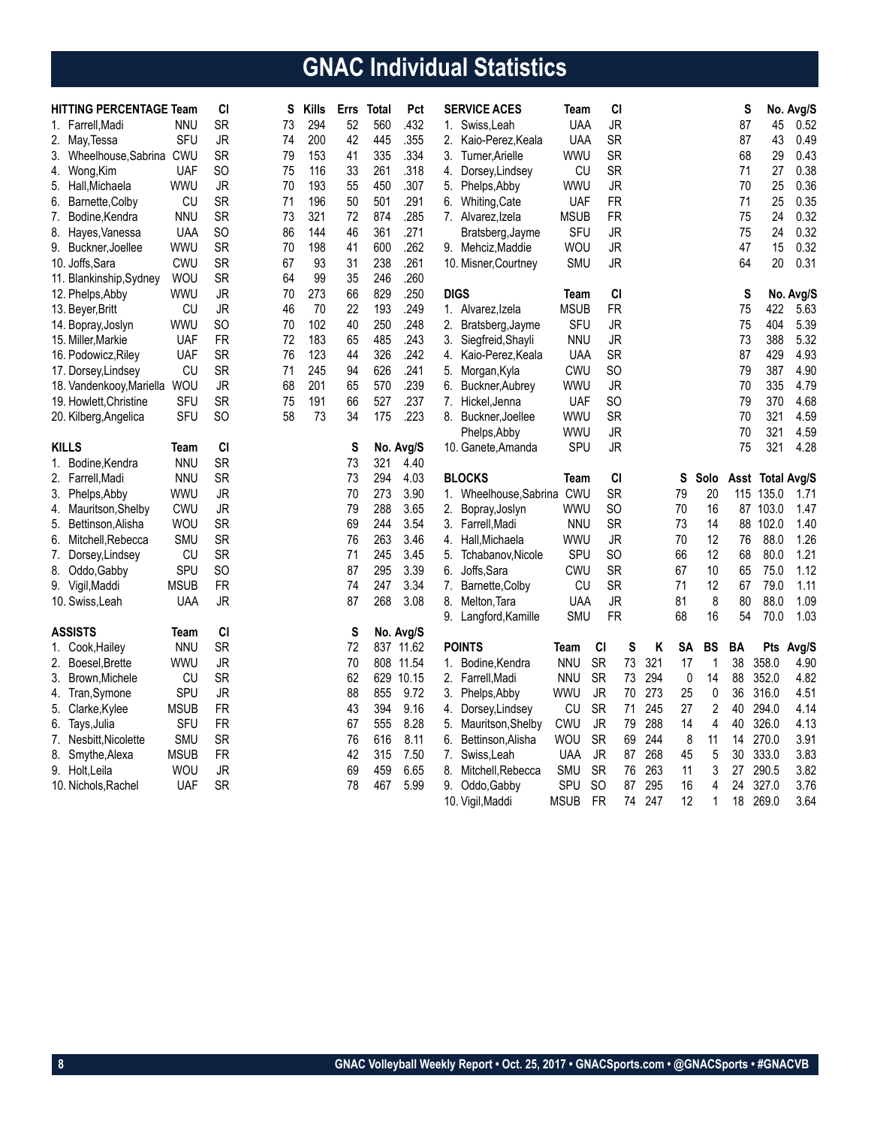# **GNAC Individual Statistics**

| <b>HITTING PERCENTAGE Team</b> |             | CI              | S  | <b>Kills</b> | <b>Errs</b> | Total | Pct          |    | <b>SERVICE ACES</b>    | Team               |                 | CI |          |          |                | S        |              | No. Avg/S        |
|--------------------------------|-------------|-----------------|----|--------------|-------------|-------|--------------|----|------------------------|--------------------|-----------------|----|----------|----------|----------------|----------|--------------|------------------|
| 1. Farrell, Madi               | <b>NNU</b>  | <b>SR</b>       | 73 | 294          | 52          | 560   | .432         |    | 1. Swiss, Leah         | <b>UAA</b>         | <b>JR</b>       |    |          |          |                | 87       | 45           | 0.52             |
| 2. May, Tessa                  | SFU         | JR              | 74 | 200          | 42          | 445   | .355         |    | 2. Kaio-Perez, Keala   | <b>UAA</b>         | <b>SR</b>       |    |          |          |                | 87       | 43           | 0.49             |
| 3. Wheelhouse, Sabrina CWU     |             | <b>SR</b>       | 79 | 153          | 41          | 335   | .334         | 3. | Turner, Arielle        | WWU                | <b>SR</b>       |    |          |          |                | 68       | 29           | 0.43             |
| 4. Wong, Kim                   | <b>UAF</b>  | SO              | 75 | 116          | 33          | 261   | .318         |    | 4. Dorsey, Lindsey     | CU                 | <b>SR</b>       |    |          |          |                | 71       | 27           | 0.38             |
| 5. Hall, Michaela              | WWU         | JR              | 70 | 193          | 55          | 450   | .307         | 5. | Phelps, Abby           | WWU                | <b>JR</b>       |    |          |          |                | 70       | 25           | 0.36             |
| 6. Barnette, Colby             | CU          | SR              | 71 | 196          | 50          | 501   | .291         | 6. | <b>Whiting, Cate</b>   | <b>UAF</b>         | <b>FR</b>       |    |          |          |                | 71       | 25           | 0.35             |
| 7. Bodine, Kendra              | <b>NNU</b>  | <b>SR</b>       | 73 | 321          | 72          | 874   | .285         |    | 7. Alvarez, Izela      | <b>MSUB</b>        | <b>FR</b>       |    |          |          |                | 75       | 24           | 0.32             |
| 8. Hayes, Vanessa              | <b>UAA</b>  | SO              | 86 | 144          | 46          | 361   | .271         |    | Bratsberg, Jayme       | <b>SFU</b>         | <b>JR</b>       |    |          |          |                | 75       | 24           | 0.32             |
| 9. Buckner, Joellee            | WWU         | <b>SR</b>       | 70 | 198          | 41          | 600   | .262         |    | 9. Mehciz, Maddie      | WOU                | <b>JR</b>       |    |          |          |                | 47       | 15           | 0.32             |
| 10. Joffs, Sara                | <b>CWU</b>  | SR              | 67 | 93           | 31          | 238   | .261         |    | 10. Misner, Courtney   | <b>SMU</b>         | JR              |    |          |          |                | 64       | 20           | 0.31             |
| 11. Blankinship, Sydney        | <b>WOU</b>  | SR              | 64 | 99           | 35          | 246   | .260         |    |                        |                    |                 |    |          |          |                |          |              |                  |
| 12. Phelps, Abby               | <b>WWU</b>  | <b>JR</b>       | 70 | 273          | 66          | 829   | .250         |    | <b>DIGS</b>            | Team               | CI              |    |          |          |                | S        |              | No. Avg/S        |
| 13. Beyer, Britt               | CU          | <b>JR</b>       | 46 | 70           | 22          | 193   | .249         |    | 1. Alvarez, Izela      | <b>MSUB</b>        | <b>FR</b>       |    |          |          |                | 75       | 422          | 5.63             |
| 14. Bopray, Joslyn             | WWU         | SO              | 70 | 102          | 40          | 250   | .248         | 2. | Bratsberg, Jayme       | <b>SFU</b>         | <b>JR</b>       |    |          |          |                | 75       | 404          | 5.39             |
| 15. Miller, Markie             | UAF         | FR              | 72 | 183          | 65          | 485   | .243         | 3. | Siegfreid, Shayli      | <b>NNU</b>         | <b>JR</b>       |    |          |          |                | 73       | 388          | 5.32             |
| 16. Podowicz, Riley            | <b>UAF</b>  | <b>SR</b>       | 76 | 123          | 44          | 326   | .242         | 4. | Kaio-Perez, Keala      | <b>UAA</b>         | <b>SR</b>       |    |          |          |                | 87       | 429          | 4.93             |
| 17. Dorsey, Lindsey            | CU          | <b>SR</b>       | 71 | 245          | 94          | 626   | .241         | 5. | Morgan, Kyla           | <b>CWU</b>         | SO              |    |          |          |                | 79       | 387          | 4.90             |
| 18. Vandenkooy, Mariella       | <b>WOU</b>  | JR              | 68 | 201          | 65          | 570   | .239         | 6. | Buckner, Aubrey        | wwu                | <b>JR</b>       |    |          |          |                | 70       | 335          | 4.79             |
| 19. Howlett, Christine         | SFU         | <b>SR</b>       | 75 | 191          | 66          | 527   | .237         | 7. | Hickel, Jenna          | <b>UAF</b>         | <b>SO</b>       |    |          |          |                | 79       | 370          | 4.68             |
| 20. Kilberg, Angelica          | SFU         | <b>SO</b>       | 58 | 73           | 34          | 175   | .223         |    | 8. Buckner, Joellee    | WWU                | <b>SR</b>       |    |          |          |                | 70       | 321          | 4.59             |
|                                |             |                 |    |              |             |       |              |    | Phelps, Abby           | <b>WWU</b>         | <b>JR</b>       |    |          |          |                | 70       | 321          | 4.59             |
| <b>KILLS</b>                   | Team        | CI              |    |              | S           |       | No. Avg/S    |    | 10. Ganete, Amanda     | <b>SPU</b>         | JR              |    |          |          |                | 75       | 321          | 4.28             |
| 1. Bodine, Kendra              | <b>NNU</b>  | <b>SR</b>       |    |              | 73          | 321   | 4.40         |    |                        |                    |                 |    |          |          |                |          |              |                  |
|                                | <b>NNU</b>  | <b>SR</b>       |    |              | 73          | 294   | 4.03         |    | <b>BLOCKS</b>          |                    |                 | CI |          |          |                |          |              |                  |
| 2. Farrell, Madi               | WWU         | <b>JR</b>       |    |              | 70          | 273   | 3.90         |    | 1. Wheelhouse, Sabrina | Team<br><b>CWU</b> | <b>SR</b>       |    |          | S<br>79  | Solo<br>20     | 115      | 135.0        | Asst Total Avg/S |
| 3. Phelps, Abby                | CWU         | <b>JR</b>       |    |              | 79          | 288   | 3.65         |    |                        | WWU                | SO              |    |          | 70       | 16             |          | 87 103.0     | 1.71<br>1.47     |
| 4. Mauritson, Shelby           |             | <b>SR</b>       |    |              | 69          | 244   | 3.54         | 2. | Bopray, Joslyn         |                    | <b>SR</b>       |    |          | 73       | 14             | 88       | 102.0        | 1.40             |
| 5. Bettinson, Alisha           | <b>WOU</b>  | <b>SR</b>       |    |              | 76          | 263   | 3.46         | 3. | Farrell, Madi          | <b>NNU</b>         | <b>JR</b>       |    |          | 70       | 12             | 76       | 88.0         | 1.26             |
| 6. Mitchell, Rebecca           | <b>SMU</b>  |                 |    |              |             |       |              |    | 4. Hall, Michaela      | WWU                |                 |    |          |          |                |          |              |                  |
| Dorsey, Lindsey<br>7.          | CU<br>SPU   | <b>SR</b>       |    |              | 71          | 245   | 3.45<br>3.39 | 5. | Tchabanov, Nicole      | SPU                | SO<br><b>SR</b> |    |          | 66<br>67 | 12<br>10       | 68<br>65 | 80.0         | 1.21<br>1.12     |
| 8. Oddo, Gabby                 | <b>MSUB</b> | SO<br><b>FR</b> |    |              | 87<br>74    | 295   | 3.34         |    | 6. Joffs, Sara         | CWU<br>CU          | <b>SR</b>       |    |          | 71       | 12             |          | 75.0<br>79.0 | 1.11             |
| 9. Vigil, Maddi                |             |                 |    |              |             | 247   | 3.08         |    | 7. Barnette, Colby     |                    |                 |    |          |          |                | 67       | 88.0         |                  |
| 10. Swiss, Leah                | <b>UAA</b>  | <b>JR</b>       |    |              | 87          | 268   |              | 8. | Melton, Tara           | <b>UAA</b>         | <b>JR</b>       |    |          | 81       | 8              | 80       |              | 1.09             |
|                                |             |                 |    |              |             |       |              | 9. | Langford, Kamille      | SMU                | <b>FR</b>       |    |          | 68       | 16             | 54       | 70.0         | 1.03             |
| <b>ASSISTS</b>                 | Team        | CI              |    |              | S           |       | No. Avg/S    |    |                        |                    |                 |    |          |          |                |          |              |                  |
| 1. Cook, Hailey                | <b>NNU</b>  | <b>SR</b>       |    |              | 72          | 837   | 11.62        |    | <b>POINTS</b>          | Team               | CI<br><b>SR</b> | S  | Κ<br>321 | SΑ<br>17 | BS             | BA<br>38 | Pts<br>358.0 | Avg/S            |
| 2. Boesel, Brette              | WWU         | JR              |    |              | 70          |       | 808 11.54    |    | 1. Bodine, Kendra      | <b>NNU</b>         |                 | 73 |          |          | 1              |          |              | 4.90             |
| 3.<br>Brown, Michele           | CU          | <b>SR</b>       |    |              | 62          | 629   | 10.15        | 2. | Farrell, Madi          | <b>NNU</b>         | <b>SR</b>       | 73 | 294      | 0        | 14             | 88       | 352.0        | 4.82             |
| Tran, Symone<br>4.             | SPU         | <b>JR</b>       |    |              | 88          | 855   | 9.72         | 3. | Phelps, Abby           | WWU                | <b>JR</b>       | 70 | 273      | 25       | $\pmb{0}$      | 36       | 316.0        | 4.51             |
| 5. Clarke, Kylee               | <b>MSUB</b> | <b>FR</b>       |    |              | 43          | 394   | 9.16         | 4. | Dorsey, Lindsey        | CU                 | <b>SR</b>       | 71 | 245      | 27       | $\overline{c}$ | 40       | 294.0        | 4.14             |
| 6.<br>Tays, Julia              | SFU         | <b>FR</b>       |    |              | 67          | 555   | 8.28         | 5. | Mauritson, Shelby      | <b>CWU</b>         | <b>JR</b>       | 79 | 288      | 14       | 4              | 40       | 326.0        | 4.13             |
| 7. Nesbitt, Nicolette          | <b>SMU</b>  | SR              |    |              | 76          | 616   | 8.11         | 6. | Bettinson, Alisha      | <b>WOU</b>         | <b>SR</b>       | 69 | 244      | 8        | 11             | 14       | 270.0        | 3.91             |
| 8. Smythe, Alexa               | <b>MSUB</b> | <b>FR</b>       |    |              | 42          | 315   | 7.50         | 7. | Swiss, Leah            | <b>UAA</b>         | <b>JR</b>       | 87 | 268      | 45       | 5              | $30\,$   | 333.0        | 3.83             |
| 9. Holt,Leila                  | WOU         | <b>JR</b>       |    |              | 69          | 459   | 6.65         | 8. | Mitchell, Rebecca      | SMU                | <b>SR</b>       | 76 | 263      | 11       | 3              | 27       | 290.5        | 3.82             |
| 10. Nichols, Rachel            | <b>UAF</b>  | <b>SR</b>       |    |              | 78          | 467   | 5.99         |    | 9. Oddo, Gabby         | SPU                | SO              | 87 | 295      | 16       | 4              | 24       | 327.0        | 3.76             |
|                                |             |                 |    |              |             |       |              |    | 10. Vigil, Maddi       | <b>MSUB</b>        | <b>FR</b>       | 74 | 247      | 12       | 1              | 18       | 269.0        | 3.64             |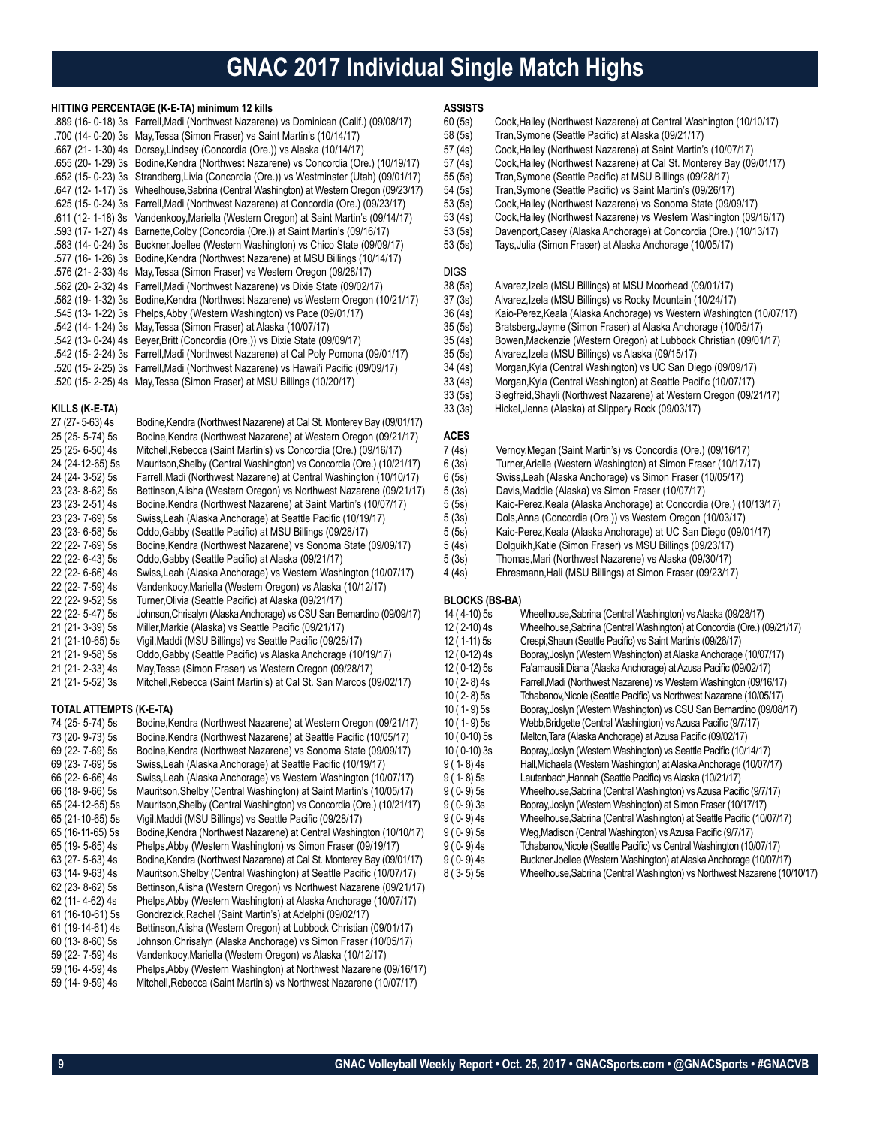## **GNAC 2017 Individual Single Match Highs**

#### **HITTING PERCENTAGE (K-E-TA) minimum 12 kills**

| .889 (16-0-18) 3s Farrell, Madi (Northwest Nazarene) vs Dominican (Calif.) (09/08/17)    |
|------------------------------------------------------------------------------------------|
| .700 (14- 0-20) 3s May, Tessa (Simon Fraser) vs Saint Martin's (10/14/17)                |
| .667 (21- 1-30) 4s Dorsey, Lindsey (Concordia (Ore.)) vs Alaska (10/14/17)               |
| .655 (20- 1-29) 3s Bodine, Kendra (Northwest Nazarene) vs Concordia (Ore.) (10/19/17)    |
| .652 (15-0-23) 3s Strandberg, Livia (Concordia (Ore.)) vs Westminster (Utah) (09/01/17)  |
| .647 (12- 1-17) 3s Wheelhouse, Sabrina (Central Washington) at Western Oregon (09/23/17) |
| .625 (15- 0-24) 3s Farrell, Madi (Northwest Nazarene) at Concordia (Ore.) (09/23/17)     |
| .611 (12- 1-18) 3s Vandenkooy, Mariella (Western Oregon) at Saint Martin's (09/14/17)    |
| .593 (17- 1-27) 4s Barnette, Colby (Concordia (Ore.)) at Saint Martin's (09/16/17)       |
| .583 (14- 0-24) 3s Buckner, Joellee (Western Washington) vs Chico State (09/09/17)       |
| .577 (16-1-26) 3s Bodine, Kendra (Northwest Nazarene) at MSU Billings (10/14/17)         |
| .576 (21- 2-33) 4s May, Tessa (Simon Fraser) vs Western Oregon (09/28/17)                |
| .562 (20-2-32) 4s Farrell, Madi (Northwest Nazarene) vs Dixie State (09/02/17)           |
| .562 (19-1-32) 3s Bodine, Kendra (Northwest Nazarene) vs Western Oregon (10/21/17)       |
| .545 (13- 1-22) 3s Phelps, Abby (Western Washington) vs Pace (09/01/17)                  |
| .542 (14- 1-24) 3s May, Tessa (Simon Fraser) at Alaska (10/07/17)                        |
| .542 (13- 0-24) 4s Beyer, Britt (Concordia (Ore.)) vs Dixie State (09/09/17)             |
| .542 (15-2-24) 3s Farrell, Madi (Northwest Nazarene) at Cal Poly Pomona (09/01/17)       |
| .520 (15-2-25) 3s Farrell, Madi (Northwest Nazarene) vs Hawai'i Pacific (09/09/17)       |
| .520 (15-2-25) 4s May, Tessa (Simon Fraser) at MSU Billings (10/20/17)                   |

#### **KILLS (K-E-TA)**

| 27 (27-5-63) 4s     | Bodine, Kendra (Northwest Nazarene) at Cal St. Monterey Bay (09/01/17) |
|---------------------|------------------------------------------------------------------------|
| 25 (25- 5-74) 5s    | Bodine, Kendra (Northwest Nazarene) at Western Oregon (09/21/17)       |
| 25 (25-6-50) 4s     | Mitchell, Rebecca (Saint Martin's) vs Concordia (Ore.) (09/16/17)      |
| 24 (24-12-65) 5s    | Mauritson, Shelby (Central Washington) vs Concordia (Ore.) (10/21/17)  |
| 24 (24-3-52) 5s     | Farrell, Madi (Northwest Nazarene) at Central Washington (10/10/17)    |
| 23 (23-8-62) 5s     | Bettinson, Alisha (Western Oregon) vs Northwest Nazarene (09/21/17)    |
| 23 (23-2-51) 4s     | Bodine, Kendra (Northwest Nazarene) at Saint Martin's (10/07/17)       |
| 23 (23-7-69) 5s     | Swiss, Leah (Alaska Anchorage) at Seattle Pacific (10/19/17)           |
| 23 (23-6-58) 5s     | Oddo, Gabby (Seattle Pacific) at MSU Billings (09/28/17)               |
| 22 (22-7-69) 5s     | Bodine, Kendra (Northwest Nazarene) vs Sonoma State (09/09/17)         |
| 22 (22-6-43) 5s     | Oddo, Gabby (Seattle Pacific) at Alaska (09/21/17)                     |
| 22 (22-6-66) 4s     | Swiss, Leah (Alaska Anchorage) vs Western Washington (10/07/17)        |
| 22 (22-7-59) 4s     | Vandenkooy, Mariella (Western Oregon) vs Alaska (10/12/17)             |
| 22 (22- 9-52) 5s    | Turner, Olivia (Seattle Pacific) at Alaska (09/21/17)                  |
| 22 (22-5-47) 5s     | Johnson, Chrisalyn (Alaska Anchorage) vs CSU San Bernardino (09/09/17) |
| 21 (21-3-39) 5s     | Miller, Markie (Alaska) vs Seattle Pacific (09/21/17)                  |
| 21 (21-10-65) 5s    | Vigil, Maddi (MSU Billings) vs Seattle Pacific (09/28/17)              |
| 21 (21-9-58) 5s     | Oddo Gabby (Seattle Pacific) vs Alaska Anchorage (10/19/17)            |
| 21 (21 - 2 - 33) 4s | May, Tessa (Simon Fraser) vs Western Oregon (09/28/17)                 |
| 21 (21-5-52) 3s     | Mitchell, Rebecca (Saint Martin's) at Cal St. San Marcos (09/02/17)    |

#### **TOTAL ATTEMPTS (K-E-TA)**

| 74 (25- 5-74) 5s | Bodine, Kendra (Northwest Nazarene) at Western Oregon (09/21/17)       |
|------------------|------------------------------------------------------------------------|
| 73 (20-9-73) 5s  | Bodine, Kendra (Northwest Nazarene) at Seattle Pacific (10/05/17)      |
| 69 (22-7-69) 5s  | Bodine, Kendra (Northwest Nazarene) vs Sonoma State (09/09/17)         |
| 69 (23-7-69) 5s  | Swiss, Leah (Alaska Anchorage) at Seattle Pacific (10/19/17)           |
| 66 (22- 6-66) 4s | Swiss, Leah (Alaska Anchorage) vs Western Washington (10/07/17)        |
| 66 (18-9-66) 5s  | Mauritson, Shelby (Central Washington) at Saint Martin's (10/05/17)    |
| 65 (24-12-65) 5s | Mauritson, Shelby (Central Washington) vs Concordia (Ore.) (10/21/17)  |
| 65 (21-10-65) 5s | Vigil, Maddi (MSU Billings) vs Seattle Pacific (09/28/17)              |
| 65 (16-11-65) 5s | Bodine, Kendra (Northwest Nazarene) at Central Washington (10/10/17)   |
| 65 (19- 5-65) 4s | Phelps, Abby (Western Washington) vs Simon Fraser (09/19/17)           |
| 63 (27-5-63) 4s  | Bodine, Kendra (Northwest Nazarene) at Cal St. Monterey Bay (09/01/17) |
| 63 (14- 9-63) 4s | Mauritson, Shelby (Central Washington) at Seattle Pacific (10/07/17)   |
| 62 (23- 8-62) 5s | Bettinson, Alisha (Western Oregon) vs Northwest Nazarene (09/21/17)    |
| 62 (11-4-62) 4s  | Phelps, Abby (Western Washington) at Alaska Anchorage (10/07/17)       |
| 61 (16-10-61) 5s | Gondrezick, Rachel (Saint Martin's) at Adelphi (09/02/17)              |
| 61 (19-14-61) 4s | Bettinson, Alisha (Western Oregon) at Lubbock Christian (09/01/17)     |
| 60 (13-8-60) 5s  | Johnson, Chrisalyn (Alaska Anchorage) vs Simon Fraser (10/05/17)       |
| 59 (22-7-59) 4s  | Vandenkooy, Mariella (Western Oregon) vs Alaska (10/12/17)             |
| 59 (16-4-59) 4s  | Phelps, Abby (Western Washington) at Northwest Nazarene (09/16/17)     |
| 59 (14- 9-59) 4s | Mitchell, Rebecca (Saint Martin's) vs Northwest Nazarene (10/07/17)    |
|                  |                                                                        |

### **ASSISTS**

- 60 (5s) Cook, Hailey (Northwest Nazarene) at Central Washington (10/10/17)<br>58 (5s) Tran, Symone (Seattle Pacific) at Alaska (09/21/17)
	- Tran, Symone (Seattle Pacific) at Alaska (09/21/17)
- 57 (4s) Cook, Hailey (Northwest Nazarene) at Saint Martin's (10/07/17)<br>57 (4s) Cook, Hailey (Northwest Nazarene) at Cal St. Monterey Bay (09
	- Cook, Hailey (Northwest Nazarene) at Cal St. Monterey Bay (09/01/17)
- 55 (5s) Tran,Symone (Seattle Pacific) at MSU Billings (09/28/17)
- 54 (5s) Tran, Symone (Seattle Pacific) vs Saint Martin's (09/26/17)<br>53 (5s) Cook, Hailey (Northwest Nazarene) vs Sonoma State (09/0
- 53 (5s) Cook, Hailey (Northwest Nazarene) vs Sonoma State (09/09/17)<br>53 (4s) Cook, Hailey (Northwest Nazarene) vs Western Washington (09/
	- 53 (4s) Cook,Hailey (Northwest Nazarene) vs Western Washington (09/16/17)
- 53 (5s) Davenport,Casey (Alaska Anchorage) at Concordia (Ore.) (10/13/17)
- 53 (5s) Tays,Julia (Simon Fraser) at Alaska Anchorage (10/05/17)

### DIGS<br>38 (5s)

- 38 (5s) Alvarez,Izela (MSU Billings) at MSU Moorhead (09/01/17)
- 37 (3s) Alvarez,Izela (MSU Billings) vs Rocky Mountain (10/24/17)
- 36 (4s) Kaio-Perez, Keala (Alaska Anchorage) vs Western Washington (10/07/17)<br>35 (5s) Bratsberg, Jayme (Simon Fraser) at Alaska Anchorage (10/05/17)
	- Bratsberg,Jayme (Simon Fraser) at Alaska Anchorage (10/05/17)
- 35 (4s) Bowen,Mackenzie (Western Oregon) at Lubbock Christian (09/01/17)
- 35 (5s) Alvarez,Izela (MSU Billings) vs Alaska (09/15/17)
	- 34 (4s) Morgan,Kyla (Central Washington) vs UC San Diego (09/09/17)
- 33 (4s) Morgan,Kyla (Central Washington) at Seattle Pacific (10/07/17)
- 33 (5s) Siegfreid,Shayli (Northwest Nazarene) at Western Oregon (09/21/17)
- 33 (3s) Hickel,Jenna (Alaska) at Slippery Rock (09/03/17)

#### **ACES**

- 
- 7 (4s) Vernoy,Megan (Saint Martin's) vs Concordia (Ore.) (09/16/17) 6 (3s) Turner,Arielle (Western Washington) at Simon Fraser (10/17/17)
	- Swiss,Leah (Alaska Anchorage) vs Simon Fraser (10/05/17)
- 5 (3s) Davis, Maddie (Alaska) vs Simon Fraser (10/07/17)<br>5 (5s) Kaio-Perez, Keala (Alaska Anchorage) at Concordia
	- 5 (5s) Kaio-Perez,Keala (Alaska Anchorage) at Concordia (Ore.) (10/13/17)
- 5 (3s) Dols,Anna (Concordia (Ore.)) vs Western Oregon (10/03/17)
- 5 (5s) Kaio-Perez,Keala (Alaska Anchorage) at UC San Diego (09/01/17)
- 5 (4s) Dolguikh,Katie (Simon Fraser) vs MSU Billings (09/23/17)
- 5 (3s) Thomas,Mari (Northwest Nazarene) vs Alaska (09/30/17)
- Ehresmann, Hali (MSU Billings) at Simon Fraser (09/23/17)

#### **BLOCKS (BS-BA)**

| 14 (4-10) 5s  | Wheelhouse, Sabrina (Central Washington) vs Alaska (09/28/17)             |
|---------------|---------------------------------------------------------------------------|
| 12 (2-10) 4s  | Wheelhouse, Sabrina (Central Washington) at Concordia (Ore.) (09/21/17)   |
| 12 (1-11) 5s  | Crespi, Shaun (Seattle Pacific) vs Saint Martin's (09/26/17)              |
| 12 (0-12) 4s  | Bopray, Joslyn (Western Washington) at Alaska Anchorage (10/07/17)        |
| 12 (0-12) 5s  | Fa'amausili, Diana (Alaska Anchorage) at Azusa Pacific (09/02/17)         |
| 10 ( 2-8) 4s  | Farrell, Madi (Northwest Nazarene) vs Western Washington (09/16/17)       |
| $10(2-8)5s$   | Tchabanov, Nicole (Seattle Pacific) vs Northwest Nazarene (10/05/17)      |
| $10(1-9)5s$   | Bopray, Joslyn (Western Washington) vs CSU San Bernardino (09/08/17)      |
| $10(1-9)5s$   | Webb, Bridgette (Central Washington) vs Azusa Pacific (9/7/17)            |
| $10(0-10)5s$  | Melton, Tara (Alaska Anchorage) at Azusa Pacific (09/02/17)               |
| $10(0-10)$ 3s | Bopray, Joslyn (Western Washington) vs Seattle Pacific (10/14/17)         |
| $9(1-8)$ 4s   | Hall, Michaela (Westem Washington) at Alaska Anchorage (10/07/17)         |
| $9(1-8)5s$    | Lautenbach, Hannah (Seattle Pacific) vs Alaska (10/21/17)                 |
| $9(0-9)5s$    | Wheelhouse, Sabrina (Central Washington) vs Azusa Pacific (9/7/17)        |
| $9(0-9)3s$    | Bopray, Joslyn (Western Washington) at Simon Fraser (10/17/17)            |
| $9(0-9)$ 4s   | Wheelhouse, Sabrina (Central Washington) at Seattle Pacific (10/07/17)    |
| $9(0-9)5s$    | Weg, Madison (Central Washington) vs Azusa Pacific (9/7/17)               |
| $9(0-9)$ 4s   | Tchabanov, Nicole (Seattle Pacific) vs Central Washington (10/07/17)      |
| $9(0-9)$ 4s   | Buckner, Joellee (Western Washington) at Alaska Anchorage (10/07/17)      |
| $8(3-5)5s$    | Wheelhouse, Sabrina (Central Washington) vs Northwest Nazarene (10/10/17) |